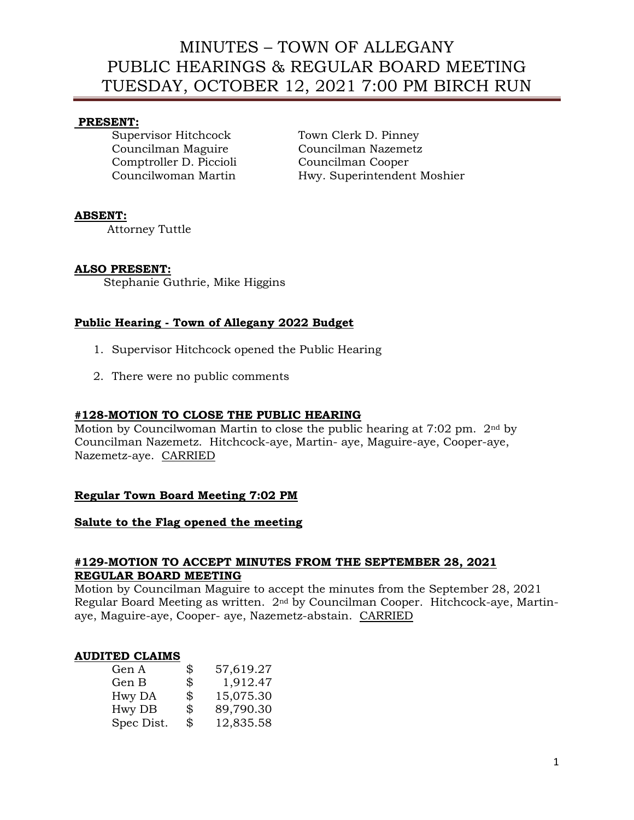# MINUTES – TOWN OF ALLEGANY PUBLIC HEARINGS & REGULAR BOARD MEETING TUESDAY, OCTOBER 12, 2021 7:00 PM BIRCH RUN

#### **PRESENT:**

Comptroller D. Piccioli Councilman Cooper

Supervisor Hitchcock Town Clerk D. Pinney Councilman Maguire Councilman Nazemetz Councilwoman Martin Hwy. Superintendent Moshier

## **ABSENT:**

Attorney Tuttle

## **ALSO PRESENT:**

Stephanie Guthrie, Mike Higgins

## **Public Hearing - Town of Allegany 2022 Budget**

- 1. Supervisor Hitchcock opened the Public Hearing
- 2. There were no public comments

#### **#128-MOTION TO CLOSE THE PUBLIC HEARING**

Motion by Councilwoman Martin to close the public hearing at 7:02 pm. 2nd by Councilman Nazemetz. Hitchcock-aye, Martin- aye, Maguire-aye, Cooper-aye, Nazemetz-aye. CARRIED

## **Regular Town Board Meeting 7:02 PM**

#### **Salute to the Flag opened the meeting**

#### **#129-MOTION TO ACCEPT MINUTES FROM THE SEPTEMBER 28, 2021 REGULAR BOARD MEETING**

Motion by Councilman Maguire to accept the minutes from the September 28, 2021 Regular Board Meeting as written. 2nd by Councilman Cooper. Hitchcock-aye, Martinaye, Maguire-aye, Cooper- aye, Nazemetz-abstain. CARRIED

#### **AUDITED CLAIMS**

| Gen A      | \$<br>57,619.27 |
|------------|-----------------|
| Gen B      | \$<br>1,912.47  |
| Hwy DA     | \$<br>15,075.30 |
| Hwy DB     | \$<br>89,790.30 |
| Spec Dist. | \$<br>12,835.58 |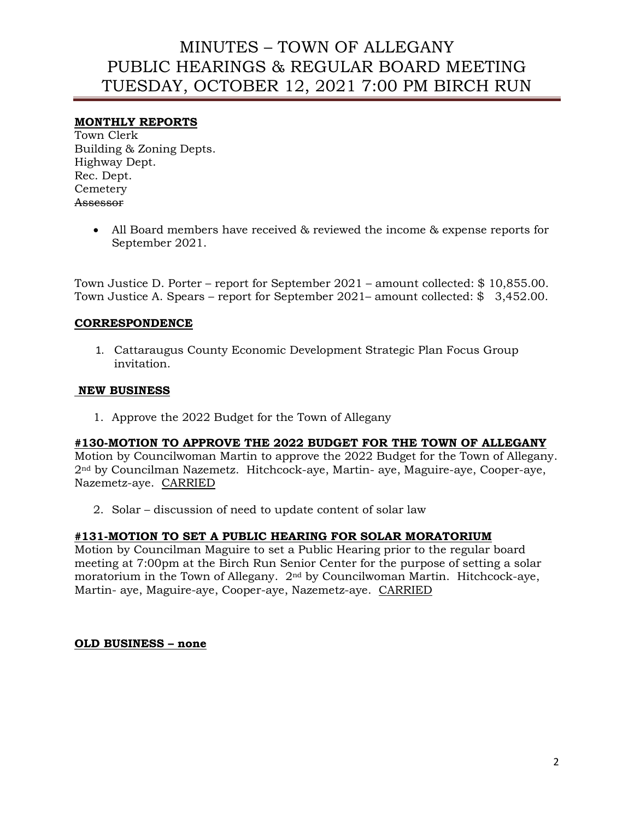# MINUTES – TOWN OF ALLEGANY PUBLIC HEARINGS & REGULAR BOARD MEETING TUESDAY, OCTOBER 12, 2021 7:00 PM BIRCH RUN

## **MONTHLY REPORTS**

Town Clerk Building & Zoning Depts. Highway Dept. Rec. Dept. **Cemetery** Assessor

> • All Board members have received & reviewed the income & expense reports for September 2021.

Town Justice D. Porter – report for September 2021 – amount collected: \$ 10,855.00. Town Justice A. Spears – report for September 2021– amount collected: \$ 3,452.00.

## **CORRESPONDENCE**

1. Cattaraugus County Economic Development Strategic Plan Focus Group invitation.

#### **NEW BUSINESS**

1. Approve the 2022 Budget for the Town of Allegany

#### **#130-MOTION TO APPROVE THE 2022 BUDGET FOR THE TOWN OF ALLEGANY**

Motion by Councilwoman Martin to approve the 2022 Budget for the Town of Allegany. 2nd by Councilman Nazemetz. Hitchcock-aye, Martin- aye, Maguire-aye, Cooper-aye, Nazemetz-aye. CARRIED

2. Solar – discussion of need to update content of solar law

## **#131-MOTION TO SET A PUBLIC HEARING FOR SOLAR MORATORIUM**

Motion by Councilman Maguire to set a Public Hearing prior to the regular board meeting at 7:00pm at the Birch Run Senior Center for the purpose of setting a solar moratorium in the Town of Allegany. 2nd by Councilwoman Martin. Hitchcock-aye, Martin- aye, Maguire-aye, Cooper-aye, Nazemetz-aye. CARRIED

## **OLD BUSINESS – none**